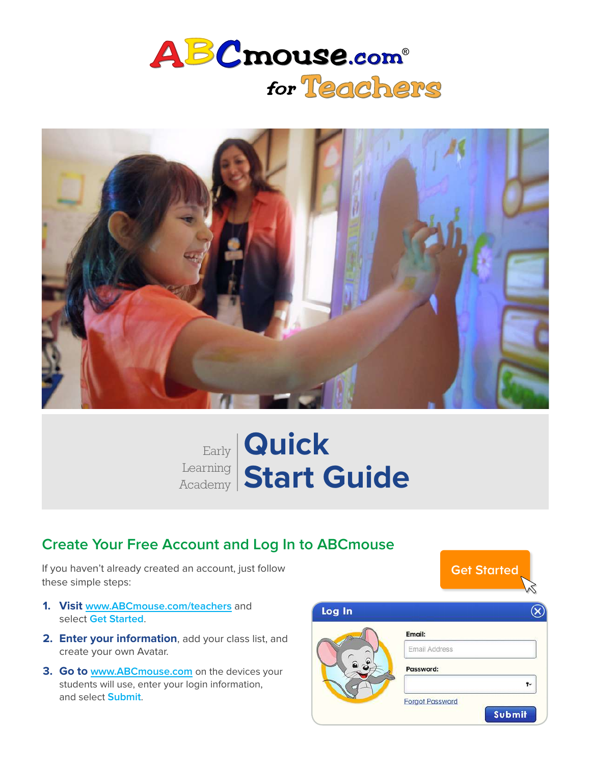





#### **Create Your Free Account and Log In to ABCmouse**

If you haven't already created an account, just follow these simple steps:

- **1. Visit [www.ABCmouse.com/teachers](https://www.abcmouse.com/teachers)** and select **Get Started**.
- **2. Enter your information**, add your class list, and create your own Avatar.
- **3. Go to [www.ABCmouse.com](https://www.abcmouse.com/html5#abc/student_home)** on the devices your students will use, enter your login information, and select **Submit**.

| Log In |                        |        |
|--------|------------------------|--------|
|        | Email:                 |        |
|        | Email Address          |        |
|        | Password:              |        |
|        |                        | ۴v     |
|        | <b>Forgot Password</b> |        |
|        |                        | Submit |

**Get Started**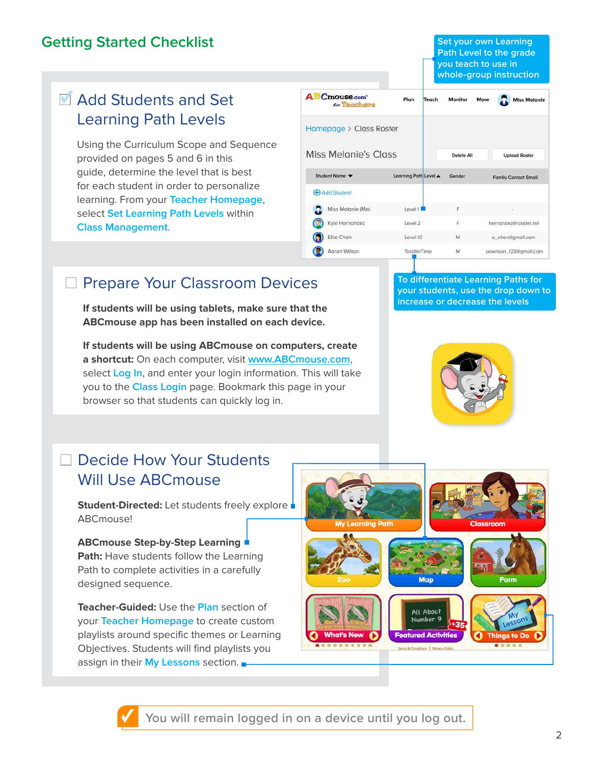## **Getting Started Checklist**

## M Add Students and Set Learning Path Levels

Using the Curriculum Scope and Sequence provided on pages 5 and 6 in this guide, determine the level that is best for each student in order to personalize learning. From your **Teacher Homepage**, select **Set Learning Path Levels** within **Class Management**.

|                                     |                      |            | whole-group instruction     |
|-------------------------------------|----------------------|------------|-----------------------------|
| <b>A</b> Cmouse.com<br>for Teachers | Plan<br><b>Teach</b> | Monitor    | <b>Miss Melanie</b><br>More |
| Homepage > Class Roster             |                      |            |                             |
| Miss Melanie's Class                |                      | Delete All | <b>Upload Roster</b>        |
| Student Name v                      | Learning Path Level  | Gender     | <b>Family Contact Email</b> |
| <b>Add Student</b><br>G             |                      |            |                             |
| Miss Melanie (Me)                   | Level I              | F          | $\sim$                      |
| Kyle Hernandez                      | Level 2              | F          | hernandez@roodel.mil        |
| Ellie Chen                          | Level 10             | M          | e_chen@gmail.com            |
| Aaran Wilson                        | ToddlerTime          | M          | aawilson_123@gmail.com      |

## □ Prepare Your Classroom Devices

**If students will be using tablets, make sure that the ABCmouse app has been installed on each device.** 

**If students will be using ABCmouse on computers, create a shortcut:** On each computer, visit **[www.ABCmouse.com](https://www.abcmouse.com/html5#abc/student_home)**, select **Log In**, and enter your login information. This will take you to the **Class Login** page. Bookmark this page in your browser so that students can quickly log in.

**To differentiate Learning Paths for your students, use the drop down to increase or decrease the levels**

**Set your own Learning Path Level to the grade you teach to use in** 



## **Decide How Your Students** Will Use ABCmouse

**Student-Directed:** Let students freely explore ABCmouse!

#### **ABCmouse Step-by-Step Learning Path:** Have students follow the Learning Path to complete activities in a carefully designed sequence.

**Teacher-Guided:** Use the **Plan** section of your **Teacher Homepage** to create custom playlists around specific themes or Learning Objectives. Students will find playlists you assign in their **My Lessons** section.



**You will remain logged in on a device until you log out.**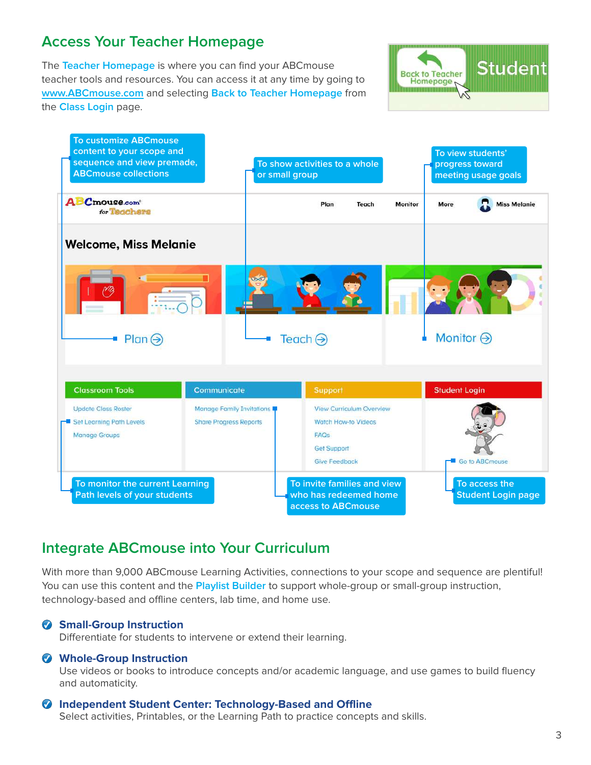### **Access Your Teacher Homepage**

The **Teacher Homepage** is where you can find your ABCmouse teacher tools and resources. You can access it at any time by going to **www.ABCmouse.com** and selecting **Back to Teacher Homepage** from the **Class Login** page.



| <b>To customize ABCmouse</b><br>content to your scope and<br>sequence and view premade,<br><b>ABCmouse collections</b> | or small group                                             | To show activities to a whole                                                                                       |                | To view students'<br>progress toward<br>meeting usage goals |  |
|------------------------------------------------------------------------------------------------------------------------|------------------------------------------------------------|---------------------------------------------------------------------------------------------------------------------|----------------|-------------------------------------------------------------|--|
| <b>ABCmouse.com</b> ®<br>for Teachers                                                                                  |                                                            | Plan<br>Teach                                                                                                       | <b>Monitor</b> | <b>Miss Melanie</b><br>More                                 |  |
| <b>Welcome, Miss Melanie</b>                                                                                           |                                                            |                                                                                                                     |                |                                                             |  |
|                                                                                                                        |                                                            |                                                                                                                     |                |                                                             |  |
| Plan( )                                                                                                                |                                                            | Teach $\ominus$                                                                                                     |                | Monitor $\Theta$                                            |  |
| <b>Classroom Tools</b>                                                                                                 | Communicate                                                | Support                                                                                                             |                | <b>Student Login</b>                                        |  |
| <b>Update Class Roster</b><br>Set Learning Path Levels<br><b>Manage Groups</b>                                         | Manage Family Invitations<br><b>Share Progress Reports</b> | <b>View Curriculum Overview</b><br>Watch How-to Videos<br><b>FAQS</b><br><b>Get Support</b><br><b>Give Feedback</b> |                | Go to ABCmouse                                              |  |
| To monitor the current Learning<br>Path levels of your students                                                        |                                                            | To invite families and view<br>who has redeemed home<br>access to ABCmouse                                          |                | To access the<br><b>Student Login page</b>                  |  |

#### **Integrate ABCmouse into Your Curriculum**

With more than 9,000 ABCmouse Learning Activities, connections to your scope and sequence are plentiful! You can use this content and the **Playlist Builder** to support whole-group or small-group instruction, technology-based and offline centers, lab time, and home use.

#### **Small-Group Instruction**

Differentiate for students to intervene or extend their learning.

#### **Whole-Group Instruction**

Use videos or books to introduce concepts and/or academic language, and use games to build fluency and automaticity.

#### **Independent Student Center: Technology-Based and Offline**

Select activities, Printables, or the Learning Path to practice concepts and skills.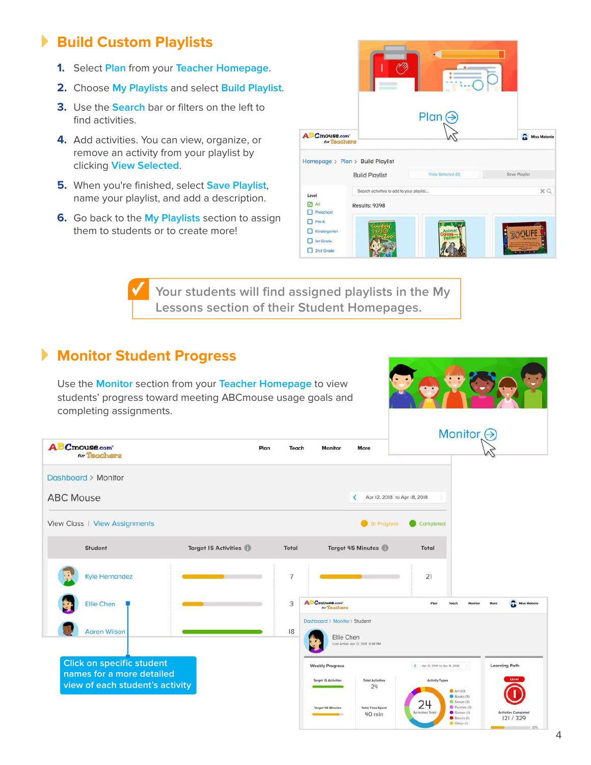## **Build Custom Playlists**

- **1.** Select **Plan** from your **Teacher Homepage**.
- **2.** Choose **My Playlists** and select **Build Playlist**.
- **3.** Use the **Search** bar or filters on the left to find activities.
- **4.** Add activities. You can view, organize, or remove an activity from your playlist by clicking **View Selected**.
- **5.** When you're finished, select **Save Playlist**, name your playlist, and add a description.
- **6.** Go back to the **My Playlists** section to assign them to students or to create more!



**Your students will find assigned playlists in the My Lessons section of their Student Homepages.**

#### **Monitor Student Progress**

**ABCmouse.com**\*

Dashboard > Monitor

**ABC Mouse** 

for Thanhare

View Class | View Assignments

Student

Kyle Hernandez

Ellie Chen

**Aaran Wilson** 

**Click on specific student names for a more detailed view of each student's activity**

Use the **Monitor** section from your **Teacher Homepage** to view students' progress toward meeting ABCmouse usage goals and completing assignments.

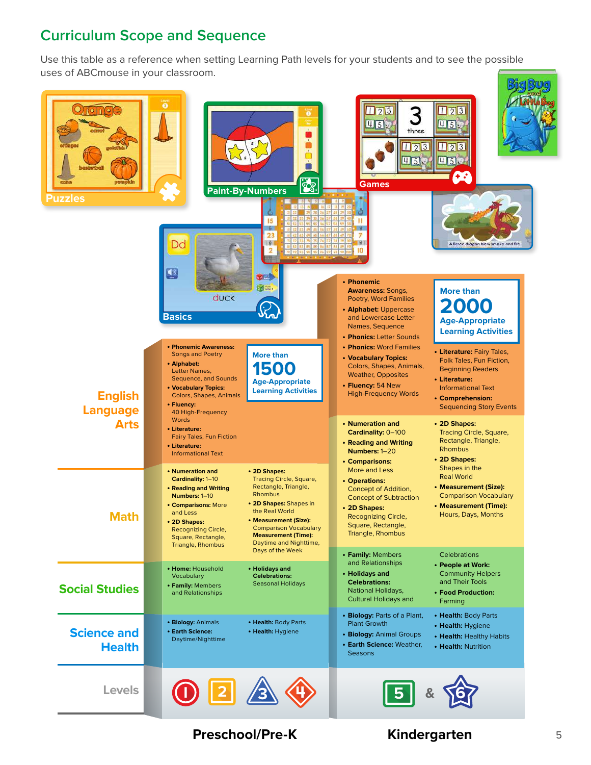## **Curriculum Scope and Sequence**

Use this table as a reference when setting Learning Path levels for your students and to see the possible uses of ABCmouse in your classroom.

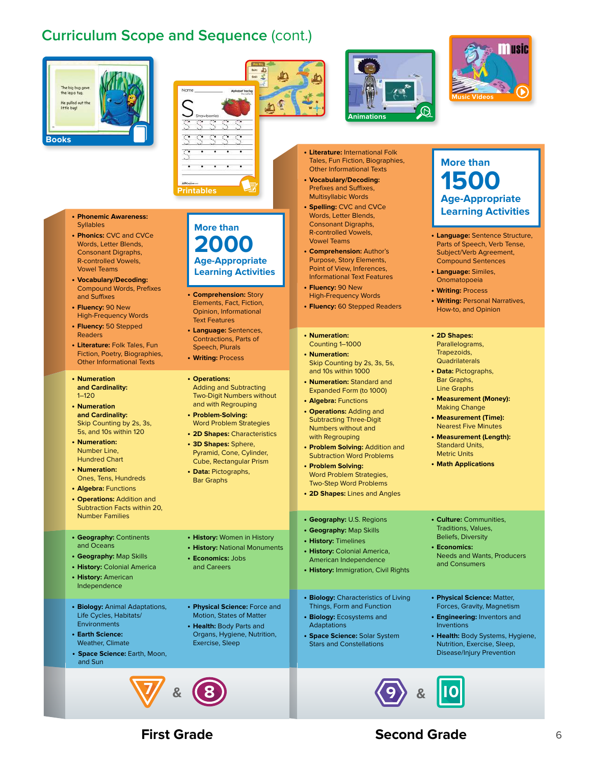## **Curriculum Scope and Sequence** (cont.)





**Printables**

**• Comprehension:** Story Elements, Fact, Fiction, Opinion, Informational Text Features **• Language:** Sentences, Contractions, Parts of Speech, Plurals **• Writing:** Process

**More than 2000 Age-Appropriate Learning Activities**

Adding and Subtracting Two-Digit Numbers without and with Regrouping **• Problem-Solving:** Word Problem Strategies **• 2D Shapes:** Characteristics **• 3D Shapes:** Sphere, Pyramid, Cone, Cylinder, Cube, Rectangular Prism **• Data:** Pictographs, Bar Graphs

**• Operations:**







- **• Literature:** International Folk Tales, Fun Fiction, Biographies, Other Informational Texts
- **• Vocabulary/Decoding:** Prefixes and Suffixes, Multisyllabic Words
- **• Spelling:** CVC and CVCe Words, Letter Blends, Consonant Digraphs, R-controlled Vowels, Vowel Teams
- **• Comprehension:** Author's Purpose, Story Elements, Point of View, Inferences, Informational Text Features
- **• Fluency:** 90 New High-Frequency Words
- **• Fluency:** 60 Stepped Readers
- **• Numeration:** Counting 1–1000
- **• Numeration:** Skip Counting by 2s, 3s, 5s, and 10s within 1000
- **• Numeration:** Standard and Expanded Form (to 1000)
- **• Algebra:** Functions
- **• Operations:** Adding and Subtracting Three-Digit Numbers without and with Regrouping
- **• Problem Solving:** Addition and Subtraction Word Problems
- **• Problem Solving:** Word Problem Strategies, Two-Step Word Problems

**• Geography:** U.S. Regions **• Geography:** Map Skills **• History:** Timelines **• History:** Colonial America, American Independence **• History:** Immigration, Civil Rights

**• 2D Shapes:** Lines and Angles

**• Biology:** Characteristics of Living Things, Form and Function **• Biology:** Ecosystems and

**• Space Science:** Solar System Stars and Constellations

Adaptations

# **More than 1500 Age-Appropriate Learning Activities**

- **• Language:** Sentence Structure, Parts of Speech, Verb Tense, Subject/Verb Agreement, Compound Sentences
- **• Language:** Similes, **Onomatopoeia**
- **• Writing:** Process
- **• Writing:** Personal Narratives, How-to, and Opinion

#### **• 2D Shapes:**

Parallelograms, Trapezoids, Quadrilaterals

- **• Data:** Pictographs, Bar Graphs, Line Graphs
- **• Measurement (Money):** Making Change
- **• Measurement (Time):** Nearest Five Minutes
- **• Measurement (Length):** Standard Units, Metric Units
- **• Math Applications**
- **• Culture:** Communities, Traditions, Values, Beliefs, Diversity

**• Economics:** Needs and Wants, Producers and Consumers

- **• Physical Science:** Matter, Forces, Gravity, Magnetism
- **• Engineering:** Inventors and Inventions
- **• Health:** Body Systems, Hygiene, Nutrition, Exercise, Sleep, Disease/Injury Prevention





#### **First Grade Second Grade** 6

#### **• Phonemic Awareness: Syllables**

- **• Phonics:** CVC and CVCe Words, Letter Blends, Consonant Digraphs, R-controlled Vowels, Vowel Teams
- **• Vocabulary/Decoding:** Compound Words, Prefixes and Suffixes
- **• Fluency:** 90 New High-Frequency Words
- **• Fluency:** 50 Stepped **Readers**
- **• Literature:** Folk Tales, Fun Fiction, Poetry, Biographies, Other Informational Texts
- **• Numeration and Cardinality:** 1–120
- **• Numeration and Cardinality:** Skip Counting by 2s, 3s, 5s, and 10s within 120
- **• Numeration:** Number Line, Hundred Chart
- **• Numeration:** Ones, Tens, Hundreds
- **• Algebra:** Functions **• Operations:** Addition and
- Subtraction Facts within 20, Number Families
- **• Geography:** Continents and Oceans
- 
- 
- Independence
- Life Cycles, Habitats/
- **• Space Science:** Earth, Moon, and Sun
- 
- **• History:** American
- **• Biology:** Animal Adaptations,
- **• Earth Science:**
- 
- 
- 
- 
- 
- 
- 
- 
- Environments
- 
- -
- Weather, Climate
- 
- 
- 
- 
- **• Geography:** Map Skills
- **• History:** Colonial America
- 
- 
- 
- 
- 
- 
- 
- 
- 
- 
- 
- -
- - **• Physical Science:** Force and Motion, States of Matter
- **• History:** National Monuments **• Economics:** Jobs and Careers

**• History:** Women in History

**• Health:** Body Parts and Organs, Hygiene, Nutrition,

Exercise, Sleep